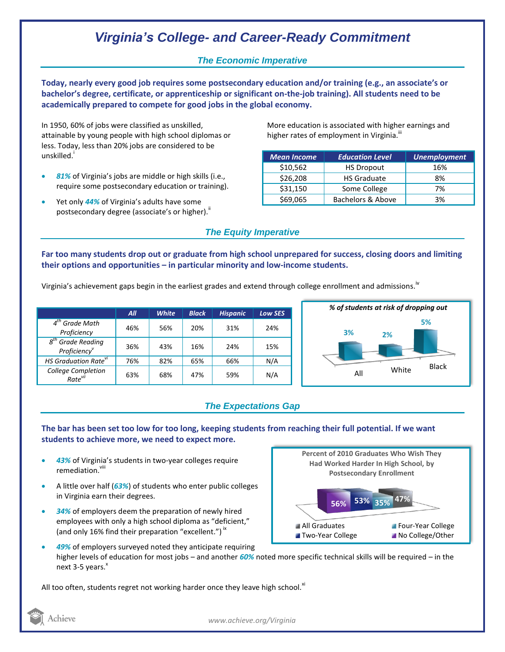# *Virginia's College- and Career-Ready Commitment*

## *The Economic Imperative*

**Today, nearly every good job requires some postsecondary education and/or training (e.g., an associate's or bachelor's degree, certificate, or apprenticeship or significant on-the-job training). All students need to be academically prepared to compete for good jobs in the global economy.**

In 1950, 60% of jobs were classified as unskilled, attainable by young people with high school diplomas or less. Today, less than 20% jobs are considered to be unskilled.<sup>i</sup>

- *81%* of Virginia's jobs are middle or high skills (i.e., require some postsecondary education or training).
- Yet only *44%* of Virginia's adults have some postsecondary degree (associate's or higher).<sup>ii</sup>

More education is associated with higher earnings and higher rates of employment in Virginia.<sup>!!!</sup>

| <b>Mean Income</b> | <b>Education Level</b> | <b>Unemployment</b> |
|--------------------|------------------------|---------------------|
| \$10,562           | <b>HS Dropout</b>      | 16%                 |
| \$26,208           | <b>HS Graduate</b>     | 8%                  |
| \$31,150           | Some College           | 7%                  |
| \$69,065           | Bachelors & Above      | 3%                  |

### *The Equity Imperative*

**Far too many students drop out or graduate from high school unprepared for success, closing doors and limiting their options and opportunities – in particular minority and low-income students.** 

Virginia's achievement gaps begin in the earliest grades and extend through college enrollment and admissions.<sup>iv</sup>

|                                                              | All | <b>White</b> | <b>Black</b> | <b>Hispanic</b> | <b>Low SES</b> |
|--------------------------------------------------------------|-----|--------------|--------------|-----------------|----------------|
| $4th$ Grade Math<br>Proficiency                              | 46% | 56%          | 20%          | 31%             | 24%            |
| <b>Grade Reading</b><br>$g^{tn}$<br>Proficiency <sup>v</sup> | 36% | 43%          | 16%          | 24%             | 15%            |
| HS Graduation Rate <sup>vi</sup>                             | 76% | 82%          | 65%          | 66%             | N/A            |
| College Completion<br>Rate <sup>vii</sup>                    | 63% | 68%          | 47%          | 59%             | N/A            |



## *The Expectations Gap*

### **The bar has been set too low for too long, keeping students from reaching their full potential. If we want students to achieve more, we need to expect more.**

- *43%* of Virginia's students in two-year colleges require remediation vill
- A little over half (*63%*) of students who enter public colleges in Virginia earn their degrees.
- *34%* of employers deem the preparation of newly hired employees with only a high school diploma as "deficient," (and only 16% find their preparation "excellent.")<sup>ix</sup>



 *49%* of employers surveyed noted they anticipate requiring higher levels of education for most jobs – and another *60%* noted more specific technical skills will be required – in the next  $3-5$  years. $^{x}$ 

All too often, students regret not working harder once they leave high school. $^{x_1}$ 



*www.achieve.org/Virginia*